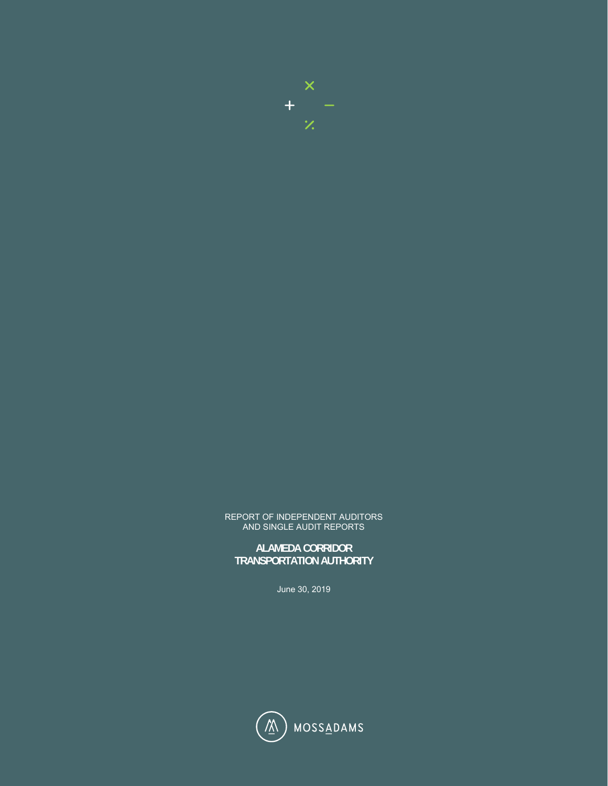

#### REPORT OF INDEPENDENT AUDITORS AND SINGLE AUDIT REPORTS

**ALAMEDA CORRIDOR TRANSPORTATION AUTHORITY** 

June 30, 2019

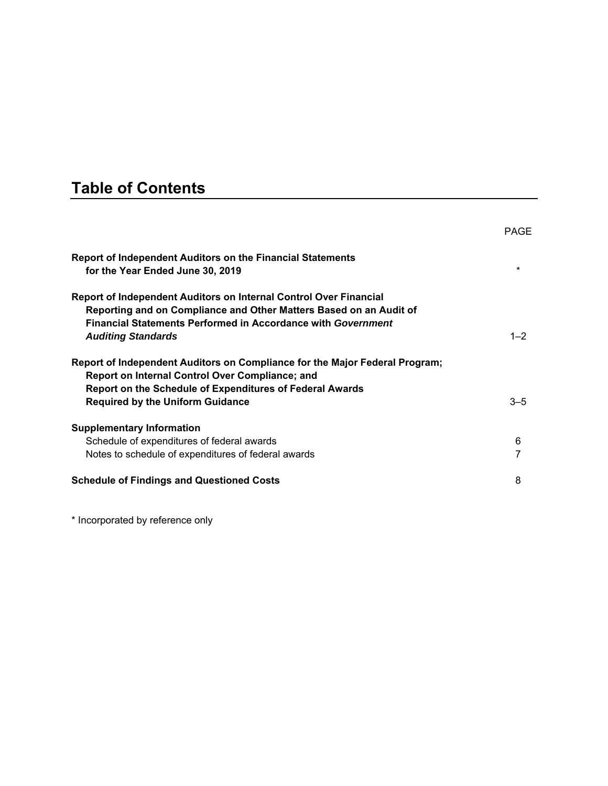# **Table of Contents**

|                                                                                                                                                                                                                                                     | <b>PAGE</b> |
|-----------------------------------------------------------------------------------------------------------------------------------------------------------------------------------------------------------------------------------------------------|-------------|
| <b>Report of Independent Auditors on the Financial Statements</b><br>for the Year Ended June 30, 2019                                                                                                                                               | ¥           |
| <b>Report of Independent Auditors on Internal Control Over Financial</b><br>Reporting and on Compliance and Other Matters Based on an Audit of<br><b>Financial Statements Performed in Accordance with Government</b><br><b>Auditing Standards</b>  | $1 - 2$     |
| Report of Independent Auditors on Compliance for the Major Federal Program;<br><b>Report on Internal Control Over Compliance; and</b><br><b>Report on the Schedule of Expenditures of Federal Awards</b><br><b>Required by the Uniform Guidance</b> | $3 - 5$     |
| <b>Supplementary Information</b><br>Schedule of expenditures of federal awards<br>Notes to schedule of expenditures of federal awards                                                                                                               | 6           |
| <b>Schedule of Findings and Questioned Costs</b>                                                                                                                                                                                                    | 8           |

\* Incorporated by reference only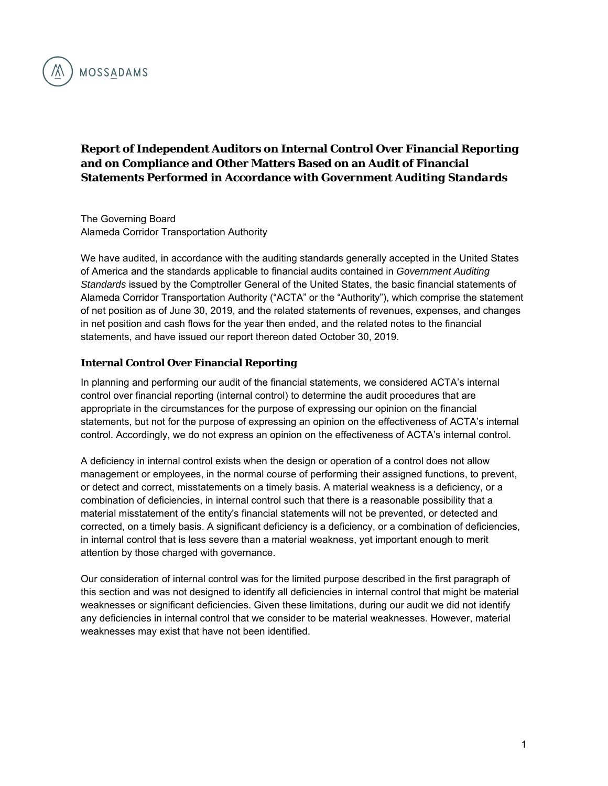

### **Report of Independent Auditors on Internal Control Over Financial Reporting and on Compliance and Other Matters Based on an Audit of Financial Statements Performed in Accordance with** *Government Auditing Standards*

The Governing Board Alameda Corridor Transportation Authority

We have audited, in accordance with the auditing standards generally accepted in the United States of America and the standards applicable to financial audits contained in *Government Auditing Standards* issued by the Comptroller General of the United States, the basic financial statements of Alameda Corridor Transportation Authority ("ACTA" or the "Authority"), which comprise the statement of net position as of June 30, 2019, and the related statements of revenues, expenses, and changes in net position and cash flows for the year then ended, and the related notes to the financial statements, and have issued our report thereon dated October 30, 2019.

#### **Internal Control Over Financial Reporting**

In planning and performing our audit of the financial statements, we considered ACTA's internal control over financial reporting (internal control) to determine the audit procedures that are appropriate in the circumstances for the purpose of expressing our opinion on the financial statements, but not for the purpose of expressing an opinion on the effectiveness of ACTA's internal control. Accordingly, we do not express an opinion on the effectiveness of ACTA's internal control.

A deficiency in internal control exists when the design or operation of a control does not allow management or employees, in the normal course of performing their assigned functions, to prevent, or detect and correct, misstatements on a timely basis. A material weakness is a deficiency, or a combination of deficiencies, in internal control such that there is a reasonable possibility that a material misstatement of the entity's financial statements will not be prevented, or detected and corrected, on a timely basis. A significant deficiency is a deficiency, or a combination of deficiencies, in internal control that is less severe than a material weakness, yet important enough to merit attention by those charged with governance.

Our consideration of internal control was for the limited purpose described in the first paragraph of this section and was not designed to identify all deficiencies in internal control that might be material weaknesses or significant deficiencies. Given these limitations, during our audit we did not identify any deficiencies in internal control that we consider to be material weaknesses. However, material weaknesses may exist that have not been identified.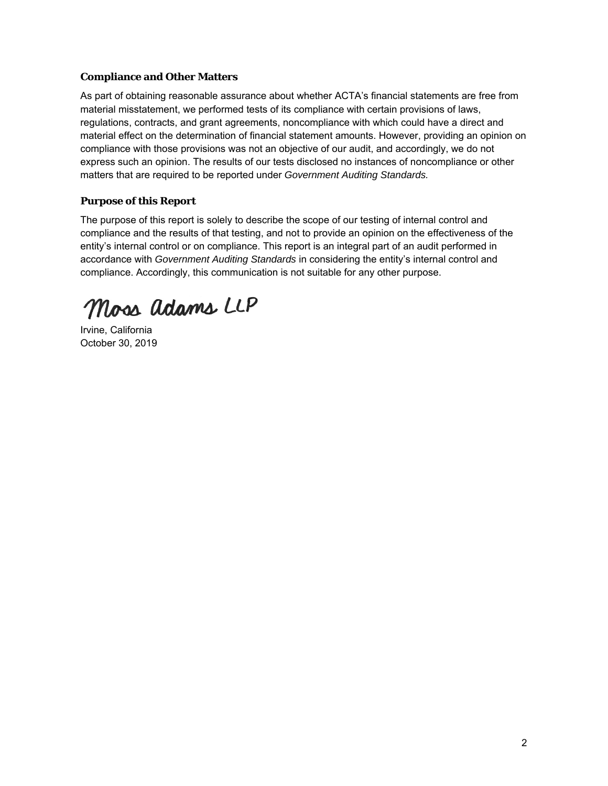#### **Compliance and Other Matters**

As part of obtaining reasonable assurance about whether ACTA's financial statements are free from material misstatement, we performed tests of its compliance with certain provisions of laws, regulations, contracts, and grant agreements, noncompliance with which could have a direct and material effect on the determination of financial statement amounts. However, providing an opinion on compliance with those provisions was not an objective of our audit, and accordingly, we do not express such an opinion. The results of our tests disclosed no instances of noncompliance or other matters that are required to be reported under *Government Auditing Standards.* 

#### **Purpose of this Report**

The purpose of this report is solely to describe the scope of our testing of internal control and compliance and the results of that testing, and not to provide an opinion on the effectiveness of the entity's internal control or on compliance. This report is an integral part of an audit performed in accordance with *Government Auditing Standards* in considering the entity's internal control and compliance. Accordingly, this communication is not suitable for any other purpose.

Moss adams LLP

Irvine, California October 30, 2019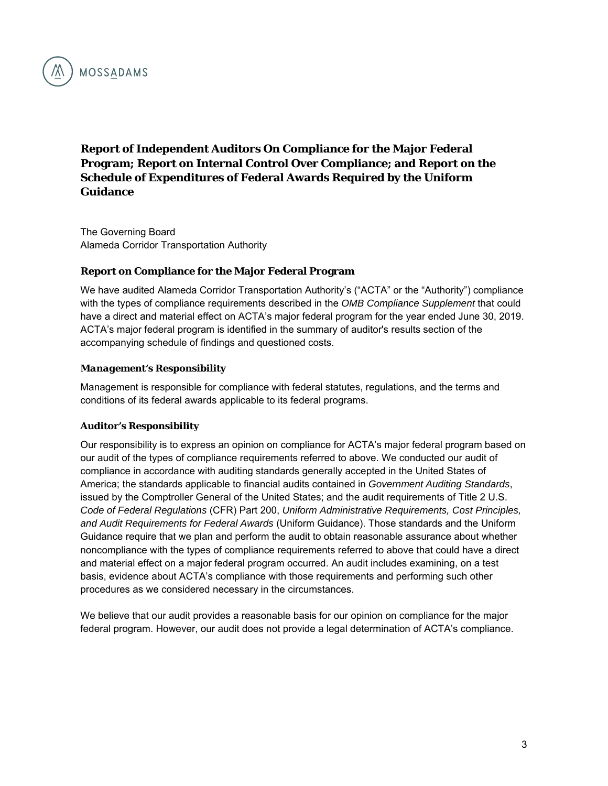

**Report of Independent Auditors On Compliance for the Major Federal Program; Report on Internal Control Over Compliance; and Report on the Schedule of Expenditures of Federal Awards Required by the Uniform Guidance** 

The Governing Board Alameda Corridor Transportation Authority

#### **Report on Compliance for the Major Federal Program**

We have audited Alameda Corridor Transportation Authority's ("ACTA" or the "Authority") compliance with the types of compliance requirements described in the *OMB Compliance Supplement* that could have a direct and material effect on ACTA's major federal program for the year ended June 30, 2019. ACTA's major federal program is identified in the summary of auditor's results section of the accompanying schedule of findings and questioned costs.

#### *Management's Responsibility*

Management is responsible for compliance with federal statutes, regulations, and the terms and conditions of its federal awards applicable to its federal programs.

#### *Auditor's Responsibility*

Our responsibility is to express an opinion on compliance for ACTA's major federal program based on our audit of the types of compliance requirements referred to above. We conducted our audit of compliance in accordance with auditing standards generally accepted in the United States of America; the standards applicable to financial audits contained in *Government Auditing Standards*, issued by the Comptroller General of the United States; and the audit requirements of Title 2 U.S. *Code of Federal Regulations* (CFR) Part 200, *Uniform Administrative Requirements, Cost Principles, and Audit Requirements for Federal Awards* (Uniform Guidance). Those standards and the Uniform Guidance require that we plan and perform the audit to obtain reasonable assurance about whether noncompliance with the types of compliance requirements referred to above that could have a direct and material effect on a major federal program occurred. An audit includes examining, on a test basis, evidence about ACTA's compliance with those requirements and performing such other procedures as we considered necessary in the circumstances.

We believe that our audit provides a reasonable basis for our opinion on compliance for the major federal program. However, our audit does not provide a legal determination of ACTA's compliance.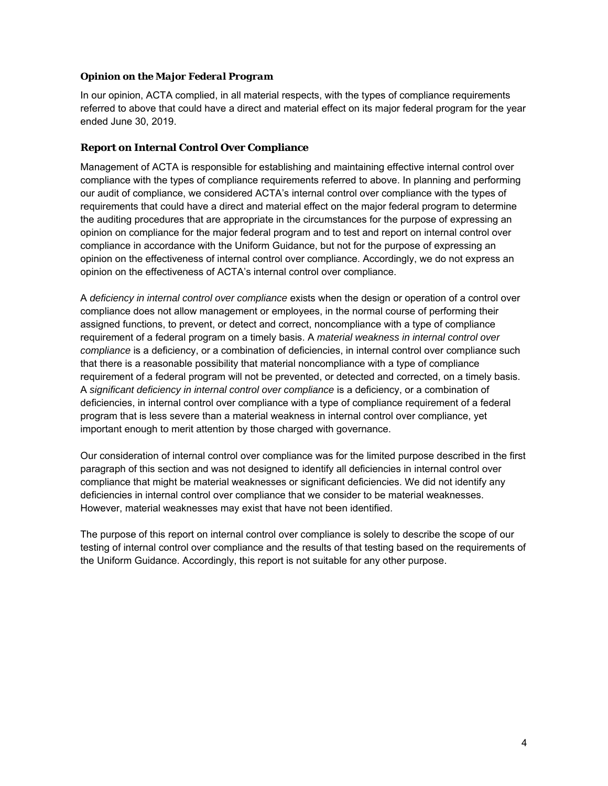#### *Opinion on the Major Federal Program*

In our opinion, ACTA complied, in all material respects, with the types of compliance requirements referred to above that could have a direct and material effect on its major federal program for the year ended June 30, 2019.

#### **Report on Internal Control Over Compliance**

Management of ACTA is responsible for establishing and maintaining effective internal control over compliance with the types of compliance requirements referred to above. In planning and performing our audit of compliance, we considered ACTA's internal control over compliance with the types of requirements that could have a direct and material effect on the major federal program to determine the auditing procedures that are appropriate in the circumstances for the purpose of expressing an opinion on compliance for the major federal program and to test and report on internal control over compliance in accordance with the Uniform Guidance, but not for the purpose of expressing an opinion on the effectiveness of internal control over compliance. Accordingly, we do not express an opinion on the effectiveness of ACTA's internal control over compliance.

A *deficiency in internal control over compliance* exists when the design or operation of a control over compliance does not allow management or employees, in the normal course of performing their assigned functions, to prevent, or detect and correct, noncompliance with a type of compliance requirement of a federal program on a timely basis. A *material weakness in internal control over compliance* is a deficiency, or a combination of deficiencies, in internal control over compliance such that there is a reasonable possibility that material noncompliance with a type of compliance requirement of a federal program will not be prevented, or detected and corrected, on a timely basis. A *significant deficiency in internal control over compliance* is a deficiency, or a combination of deficiencies, in internal control over compliance with a type of compliance requirement of a federal program that is less severe than a material weakness in internal control over compliance, yet important enough to merit attention by those charged with governance.

Our consideration of internal control over compliance was for the limited purpose described in the first paragraph of this section and was not designed to identify all deficiencies in internal control over compliance that might be material weaknesses or significant deficiencies. We did not identify any deficiencies in internal control over compliance that we consider to be material weaknesses. However, material weaknesses may exist that have not been identified.

The purpose of this report on internal control over compliance is solely to describe the scope of our testing of internal control over compliance and the results of that testing based on the requirements of the Uniform Guidance. Accordingly, this report is not suitable for any other purpose.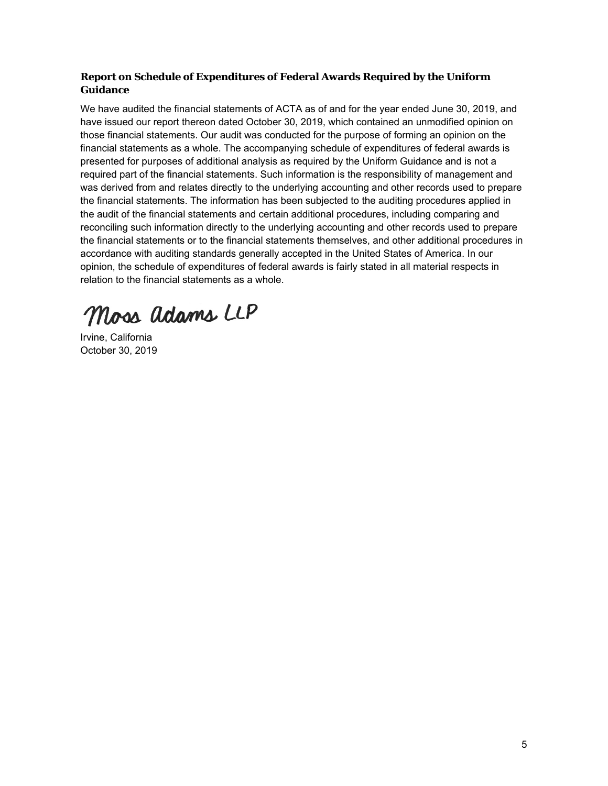#### **Report on Schedule of Expenditures of Federal Awards Required by the Uniform Guidance**

We have audited the financial statements of ACTA as of and for the year ended June 30, 2019, and have issued our report thereon dated October 30, 2019, which contained an unmodified opinion on those financial statements. Our audit was conducted for the purpose of forming an opinion on the financial statements as a whole. The accompanying schedule of expenditures of federal awards is presented for purposes of additional analysis as required by the Uniform Guidance and is not a required part of the financial statements. Such information is the responsibility of management and was derived from and relates directly to the underlying accounting and other records used to prepare the financial statements. The information has been subjected to the auditing procedures applied in the audit of the financial statements and certain additional procedures, including comparing and reconciling such information directly to the underlying accounting and other records used to prepare the financial statements or to the financial statements themselves, and other additional procedures in accordance with auditing standards generally accepted in the United States of America. In our opinion, the schedule of expenditures of federal awards is fairly stated in all material respects in relation to the financial statements as a whole.

Moss adams LLP

Irvine, California October 30, 2019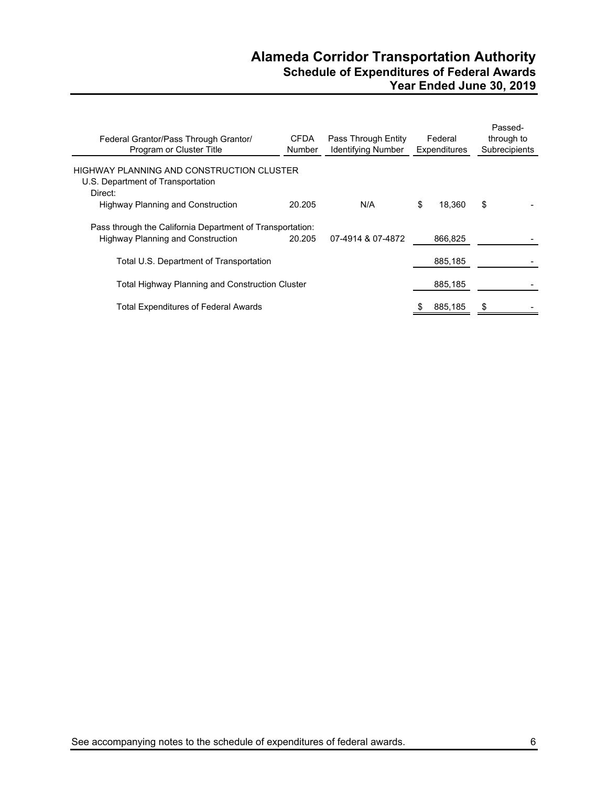## **Alameda Corridor Transportation Authority Schedule of Expenditures of Federal Awards Year Ended June 30, 2019**

| Federal Grantor/Pass Through Grantor/<br>Program or Cluster Title                              | <b>CFDA</b><br><b>Number</b> | Pass Through Entity<br><b>Identifying Number</b> | Federal<br>Expenditures | Passed-<br>through to<br>Subrecipients |  |
|------------------------------------------------------------------------------------------------|------------------------------|--------------------------------------------------|-------------------------|----------------------------------------|--|
| HIGHWAY PLANNING AND CONSTRUCTION CLUSTER<br>U.S. Department of Transportation                 |                              |                                                  |                         |                                        |  |
| Direct:<br><b>Highway Planning and Construction</b>                                            | 20.205                       | N/A                                              | \$<br>18.360            | \$                                     |  |
| Pass through the California Department of Transportation:<br>Highway Planning and Construction | 20.205                       | 07-4914 & 07-4872                                | 866,825                 |                                        |  |
| Total U.S. Department of Transportation                                                        |                              |                                                  | 885,185                 |                                        |  |
| Total Highway Planning and Construction Cluster                                                |                              |                                                  | 885,185                 |                                        |  |
| <b>Total Expenditures of Federal Awards</b>                                                    |                              |                                                  | 885,185                 | \$                                     |  |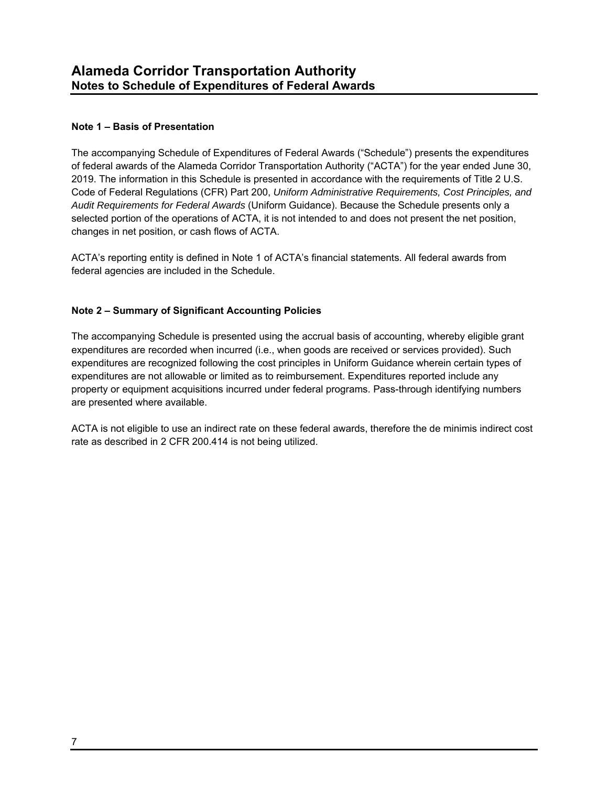#### **Note 1 – Basis of Presentation**

The accompanying Schedule of Expenditures of Federal Awards ("Schedule") presents the expenditures of federal awards of the Alameda Corridor Transportation Authority ("ACTA") for the year ended June 30, 2019. The information in this Schedule is presented in accordance with the requirements of Title 2 U.S. Code of Federal Regulations (CFR) Part 200, *Uniform Administrative Requirements, Cost Principles, and Audit Requirements for Federal Awards* (Uniform Guidance). Because the Schedule presents only a selected portion of the operations of ACTA, it is not intended to and does not present the net position, changes in net position, or cash flows of ACTA.

ACTA's reporting entity is defined in Note 1 of ACTA's financial statements. All federal awards from federal agencies are included in the Schedule.

#### **Note 2 – Summary of Significant Accounting Policies**

The accompanying Schedule is presented using the accrual basis of accounting, whereby eligible grant expenditures are recorded when incurred (i.e., when goods are received or services provided). Such expenditures are recognized following the cost principles in Uniform Guidance wherein certain types of expenditures are not allowable or limited as to reimbursement. Expenditures reported include any property or equipment acquisitions incurred under federal programs. Pass-through identifying numbers are presented where available.

ACTA is not eligible to use an indirect rate on these federal awards, therefore the de minimis indirect cost rate as described in 2 CFR 200.414 is not being utilized.